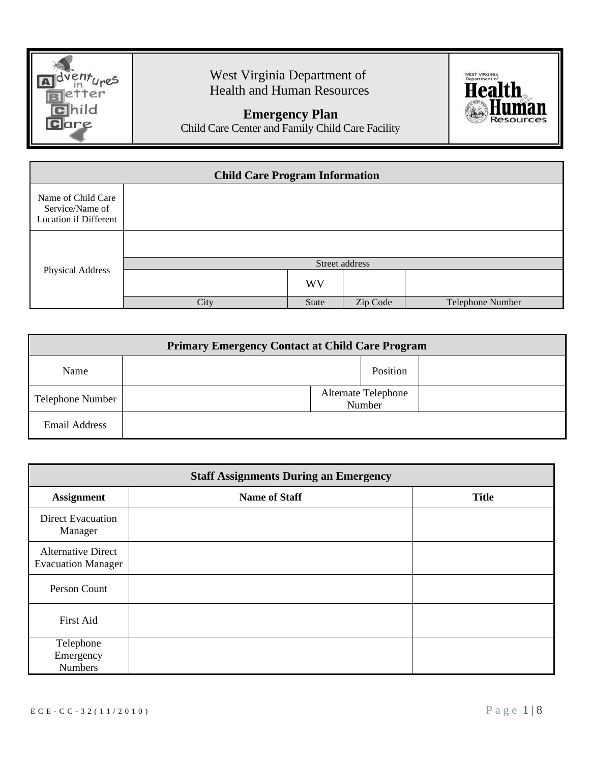

## West Virginia Department of Health and Human Resources



Child Care Center and Family Child Care Facility



| <b>Child Care Program Information</b>                                 |      |              |                |                  |
|-----------------------------------------------------------------------|------|--------------|----------------|------------------|
| Name of Child Care<br>Service/Name of<br><b>Location if Different</b> |      |              |                |                  |
|                                                                       |      |              |                |                  |
|                                                                       |      |              | Street address |                  |
| <b>Physical Address</b>                                               |      | WV           |                |                  |
|                                                                       | City | <b>State</b> | Zip Code       | Telephone Number |

| <b>Primary Emergency Contact at Child Care Program</b> |  |                               |  |
|--------------------------------------------------------|--|-------------------------------|--|
| Name                                                   |  | Position                      |  |
| Telephone Number                                       |  | Alternate Telephone<br>Number |  |
| <b>Email Address</b>                                   |  |                               |  |

| <b>Staff Assignments During an Emergency</b>           |                      |              |
|--------------------------------------------------------|----------------------|--------------|
| <b>Assignment</b>                                      | <b>Name of Staff</b> | <b>Title</b> |
| <b>Direct Evacuation</b><br>Manager                    |                      |              |
| <b>Alternative Direct</b><br><b>Evacuation Manager</b> |                      |              |
| Person Count                                           |                      |              |
| <b>First Aid</b>                                       |                      |              |
| Telephone                                              |                      |              |
| Emergency                                              |                      |              |
| <b>Numbers</b>                                         |                      |              |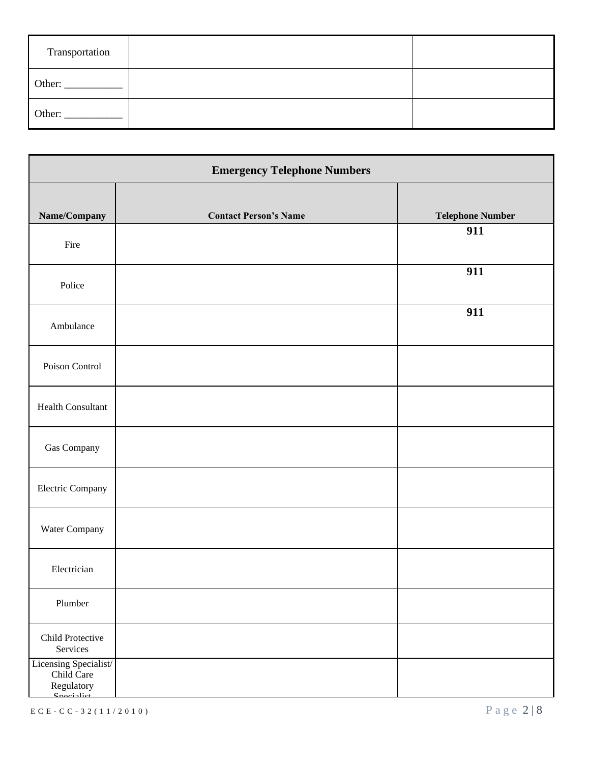| Transportation |  |
|----------------|--|
| Other:         |  |
| Other:         |  |

| <b>Emergency Telephone Numbers</b>                            |                              |                         |
|---------------------------------------------------------------|------------------------------|-------------------------|
| Name/Company                                                  | <b>Contact Person's Name</b> | <b>Telephone Number</b> |
| Fire                                                          |                              | 911                     |
| Police                                                        |                              | 911                     |
| Ambulance                                                     |                              | 911                     |
| Poison Control                                                |                              |                         |
| Health Consultant                                             |                              |                         |
| Gas Company                                                   |                              |                         |
| Electric Company                                              |                              |                         |
| Water Company                                                 |                              |                         |
| Electrician                                                   |                              |                         |
| Plumber                                                       |                              |                         |
| Child Protective<br>Services                                  |                              |                         |
| Licensing Specialist/<br>Child Care<br>Regulatory<br>Consider |                              |                         |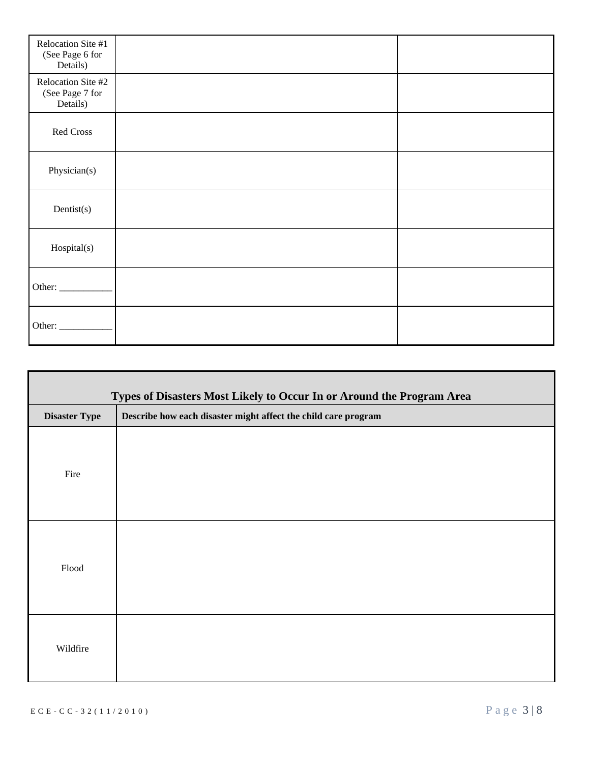| Relocation Site #1<br>(See Page 6 for<br>Details) |  |
|---------------------------------------------------|--|
| Relocation Site #2<br>(See Page 7 for<br>Details) |  |
| Red Cross                                         |  |
| Physician(s)                                      |  |
| Dentist(s)                                        |  |
| Hospital(s)                                       |  |
|                                                   |  |
| Other: $\overline{\phantom{a}}$                   |  |

| Types of Disasters Most Likely to Occur In or Around the Program Area |                                                                |  |
|-----------------------------------------------------------------------|----------------------------------------------------------------|--|
| <b>Disaster Type</b>                                                  | Describe how each disaster might affect the child care program |  |
| Fire                                                                  |                                                                |  |
| Flood                                                                 |                                                                |  |
| Wildfire                                                              |                                                                |  |

 $\blacksquare$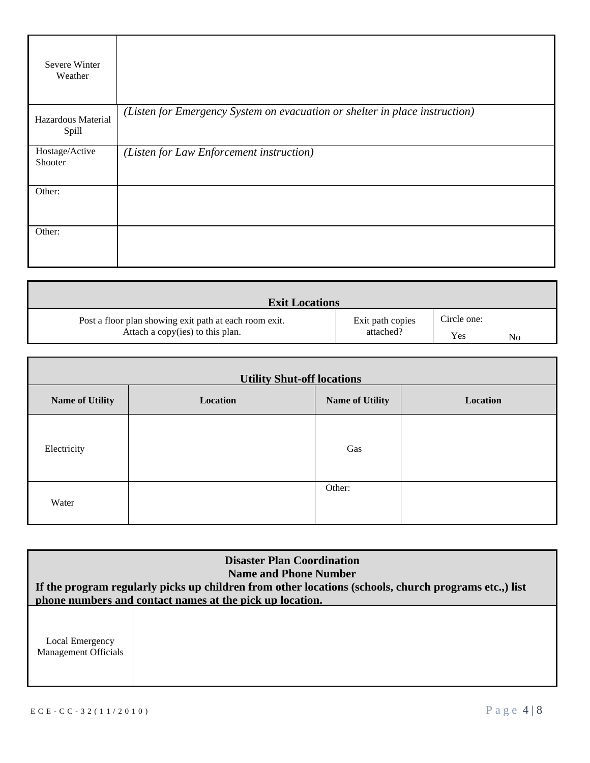| Severe Winter<br>Weather    |                                                                             |
|-----------------------------|-----------------------------------------------------------------------------|
| Hazardous Material<br>Spill | (Listen for Emergency System on evacuation or shelter in place instruction) |
| Hostage/Active<br>Shooter   | (Listen for Law Enforcement instruction)                                    |
| Other:                      |                                                                             |
| Other:                      |                                                                             |

| <b>Exit Locations</b>                                  |                  |             |    |
|--------------------------------------------------------|------------------|-------------|----|
| Post a floor plan showing exit path at each room exit. | Exit path copies | Circle one: | No |
| Attach a copy(ies) to this plan.                       | attached?        | Yes         |    |

| <b>Utility Shut-off locations</b> |          |                        |          |
|-----------------------------------|----------|------------------------|----------|
| <b>Name of Utility</b>            | Location | <b>Name of Utility</b> | Location |
| Electricity                       |          | Gas                    |          |
| Water                             |          | Other:                 |          |

| <b>Disaster Plan Coordination</b><br><b>Name and Phone Number</b><br>If the program regularly picks up children from other locations (schools, church programs etc.,) list<br>phone numbers and contact names at the pick up location. |  |  |
|----------------------------------------------------------------------------------------------------------------------------------------------------------------------------------------------------------------------------------------|--|--|
| Local Emergency<br>Management Officials                                                                                                                                                                                                |  |  |

Г

٦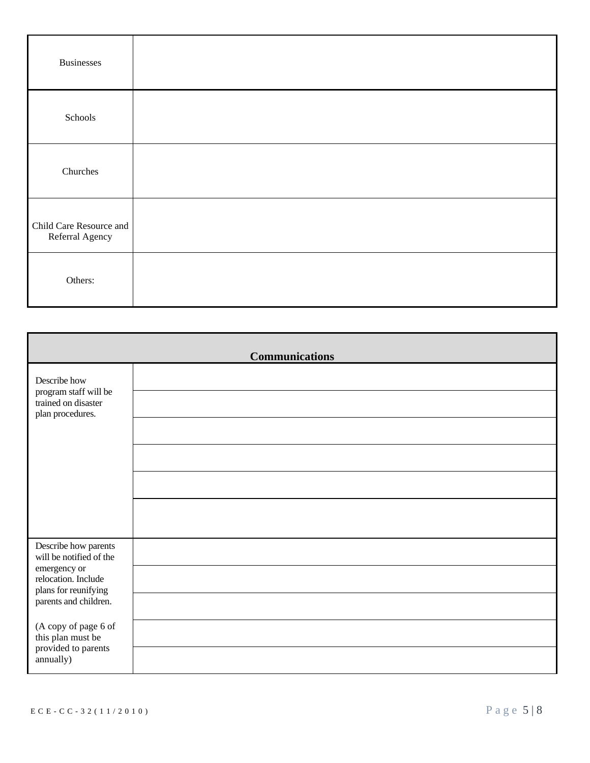| <b>Businesses</b>                          |  |
|--------------------------------------------|--|
| Schools                                    |  |
| Churches                                   |  |
| Child Care Resource and<br>Referral Agency |  |
| Others:                                    |  |

| <b>Communications</b>                                                            |  |  |  |
|----------------------------------------------------------------------------------|--|--|--|
| Describe how<br>program staff will be<br>trained on disaster<br>plan procedures. |  |  |  |
|                                                                                  |  |  |  |
|                                                                                  |  |  |  |
|                                                                                  |  |  |  |
| Describe how parents<br>will be notified of the                                  |  |  |  |
| emergency or<br>relocation. Include<br>plans for reunifying                      |  |  |  |
| parents and children.                                                            |  |  |  |
| (A copy of page 6 of<br>this plan must be<br>provided to parents<br>annually)    |  |  |  |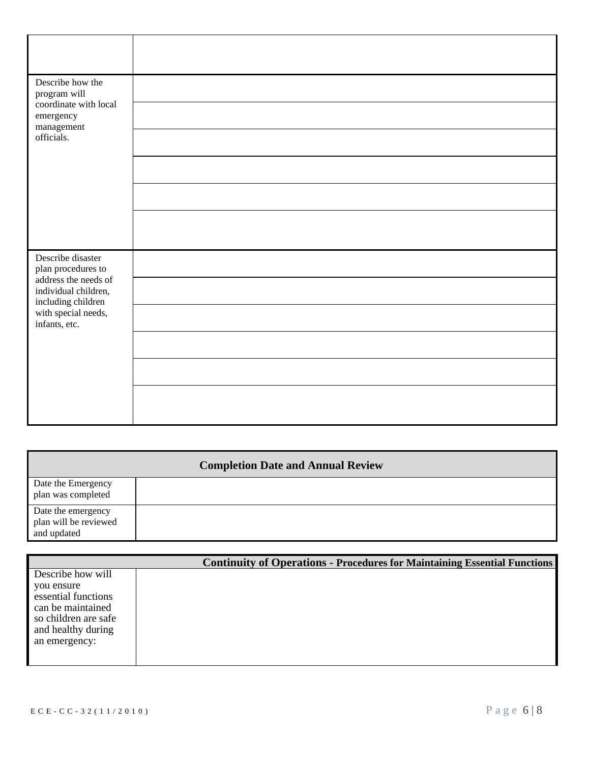| Describe how the<br>program will<br>coordinate with local<br>emergency<br>management<br>officials.                                                    |  |
|-------------------------------------------------------------------------------------------------------------------------------------------------------|--|
|                                                                                                                                                       |  |
| Describe disaster<br>plan procedures to<br>address the needs of<br>individual children,<br>including children<br>with special needs,<br>infants, etc. |  |
|                                                                                                                                                       |  |

| <b>Completion Date and Annual Review</b>                   |  |  |  |
|------------------------------------------------------------|--|--|--|
| Date the Emergency<br>plan was completed                   |  |  |  |
| Date the emergency<br>plan will be reviewed<br>and updated |  |  |  |

|                                           | <b>Continuity of Operations - Procedures for Maintaining Essential Functions</b> |
|-------------------------------------------|----------------------------------------------------------------------------------|
| Describe how will                         |                                                                                  |
| you ensure                                |                                                                                  |
| essential functions                       |                                                                                  |
| can be maintained<br>so children are safe |                                                                                  |
|                                           |                                                                                  |
| and healthy during<br>an emergency:       |                                                                                  |
|                                           |                                                                                  |
|                                           |                                                                                  |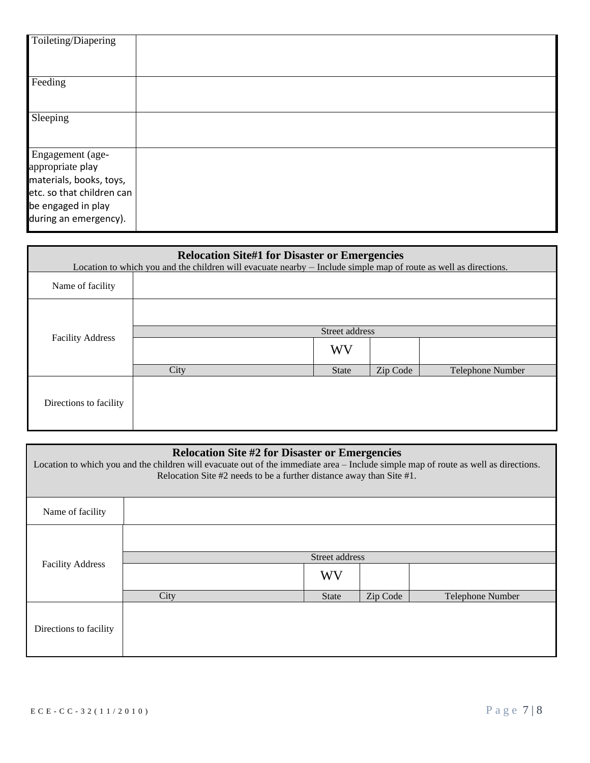| Toileting/Diapering                                                                                                                         |  |
|---------------------------------------------------------------------------------------------------------------------------------------------|--|
| Feeding                                                                                                                                     |  |
| Sleeping                                                                                                                                    |  |
| Engagement (age-<br>appropriate play<br>materials, books, toys,<br>etc. so that children can<br>be engaged in play<br>during an emergency). |  |

| <b>Relocation Site#1 for Disaster or Emergencies</b><br>Location to which you and the children will evacuate nearby – Include simple map of route as well as directions. |      |                             |          |                  |
|--------------------------------------------------------------------------------------------------------------------------------------------------------------------------|------|-----------------------------|----------|------------------|
| Name of facility                                                                                                                                                         |      |                             |          |                  |
| <b>Facility Address</b>                                                                                                                                                  |      |                             |          |                  |
|                                                                                                                                                                          |      | Street address<br><b>WV</b> |          |                  |
|                                                                                                                                                                          | City | <b>State</b>                | Zip Code | Telephone Number |
| Directions to facility                                                                                                                                                   |      |                             |          |                  |

## **Relocation Site #2 for Disaster or Emergencies**

| Relocation blue "P for Disaster of Emici generes"<br>Location to which you and the children will evacuate out of the immediate area – Include simple map of route as well as directions.<br>Relocation Site #2 needs to be a further distance away than Site #1. |                |              |          |                  |  |
|------------------------------------------------------------------------------------------------------------------------------------------------------------------------------------------------------------------------------------------------------------------|----------------|--------------|----------|------------------|--|
| Name of facility                                                                                                                                                                                                                                                 |                |              |          |                  |  |
|                                                                                                                                                                                                                                                                  |                |              |          |                  |  |
|                                                                                                                                                                                                                                                                  | Street address |              |          |                  |  |
| <b>Facility Address</b>                                                                                                                                                                                                                                          |                | WV           |          |                  |  |
|                                                                                                                                                                                                                                                                  | City           | <b>State</b> | Zip Code | Telephone Number |  |
| Directions to facility                                                                                                                                                                                                                                           |                |              |          |                  |  |